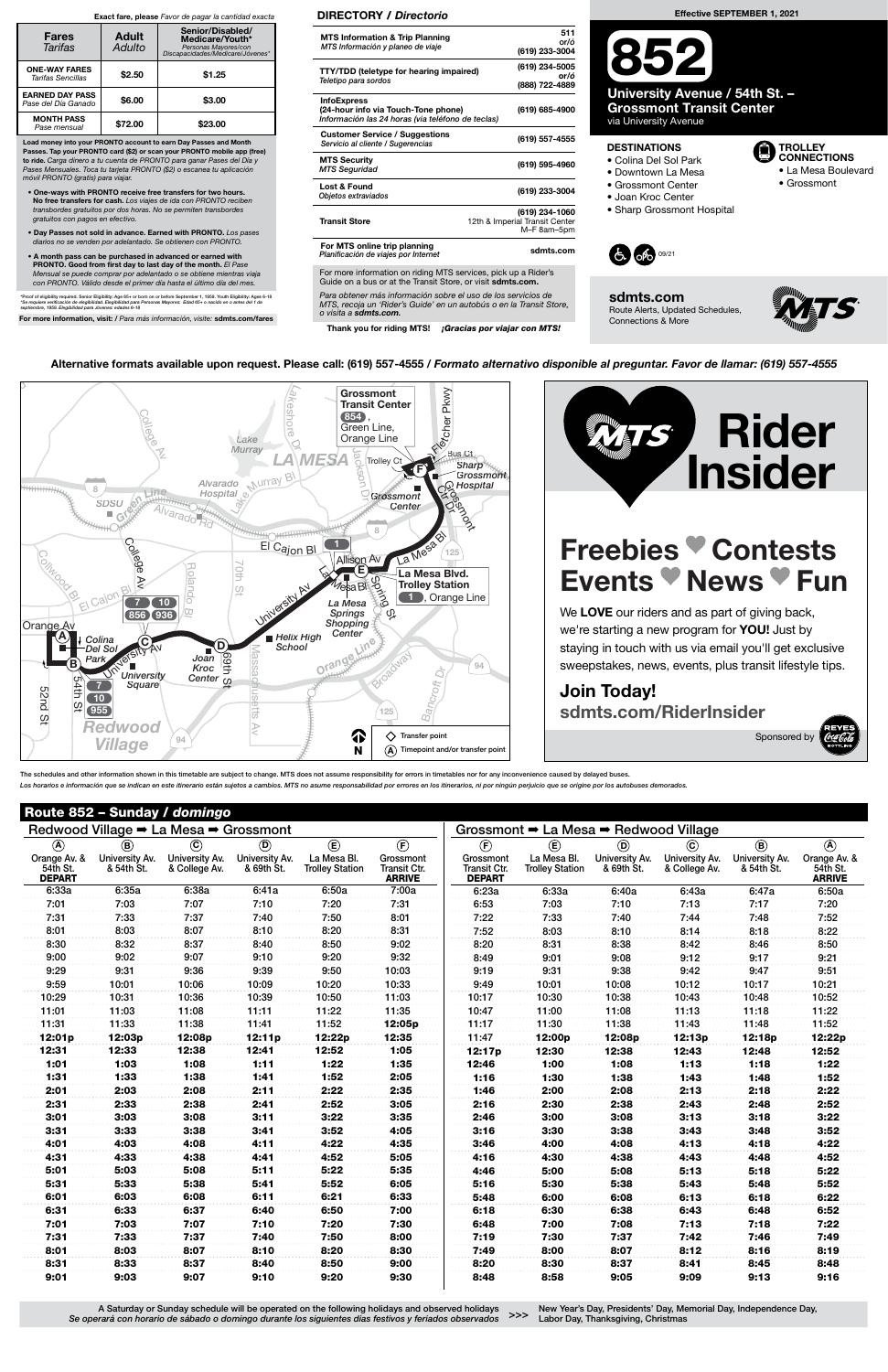### Route 852 – Sunday / domingo

Para obtener más información sobre el uso de los servicios de MTS, recoja un 'Rider's Guide' en un autobús o en la Transit Store, o visita a sdmts.com.

Thank you for riding MTS! **¡Gracias por viajar con MTS!** 

#### DIRECTORY / Directorio

| <b>MTS Information &amp; Trip Planning</b><br>MTS Información y planeo de viaje                                                      | 511<br>or/ó<br>(619) 233-3004                                   |
|--------------------------------------------------------------------------------------------------------------------------------------|-----------------------------------------------------------------|
| <b>TTY/TDD (teletype for hearing impaired)</b><br>Teletipo para sordos                                                               | (619) 234-5005<br>or/ó<br>(888) 722-4889                        |
| <b>InfoExpress</b><br>(24-hour info via Touch-Tone phone)<br>Información las 24 horas (via teléfono de teclas)                       | (619) 685-4900                                                  |
| <b>Customer Service / Suggestions</b><br>Servicio al cliente / Sugerencias                                                           | (619) 557-4555                                                  |
| <b>MTS Security</b><br><b>MTS Seguridad</b>                                                                                          | (619) 595-4960                                                  |
| Lost & Found<br>Objetos extraviados                                                                                                  | (619) 233-3004                                                  |
| <b>Transit Store</b>                                                                                                                 | (619) 234-1060<br>12th & Imperial Transit Center<br>M-F 8am-5pm |
| For MTS online trip planning<br>Planificación de viajes por Internet                                                                 | sdmts.com                                                       |
| For more information on riding MTS services, pick up a Rider's<br>Guide on a bus or at the Transit Store, or visit <b>sdmts.com.</b> |                                                                 |

Alternative formats available upon request. Please call: (619) 557-4555 / Formato alternativo disponible al preguntar. Favor de llamar: (619) 557-4555

 $\overline{\alpha}$ Lake shore **Grossmont** kwy Transit Center  $\Omega$  $\frac{\gamma}{2}$ <sup>®</sup>łcher P , 854 Green Line, ege<br>Ave Lake Orange Line Dr **Murray** Jackson Bus Ct  $\bm{A}$  ME **Trolley C Sharp** F **Grossmont** Alvarado Nurray Bl n. **G** Hospital Co Hos <del>::::::::</del> 8 SDSU CHOSPITAL CHOSPITAL CHOSPITAL CHOSPITAL CHOSPITAL CHOSPITAL CHOSPITAL CHOSPITAL CHOSPITAL CHOSPITAL CHOSPITAL CHOSPITAL CHOSPITAL CHOSPITAL CHOSPITAL CHOSPITAL CHOSPITAL CHOSPITAL CHOSPITAL CHOSPITAL CHOSPITAL CHOSPIT **Hospital**  $\sqrt{G}$ rossmont 8 La Mesa Bl College 1 <sup>E</sup><sup>l</sup> <sup>C</sup>aj<sup>o</sup><sup>n</sup> <sup>B</sup><sup>l</sup> 125 Collwood B Allison Av  $\overline{\phantom{0}}$ R ola n **E** o<br>E La Mesa Blvd. Av Spring St Trolley Station S. University Av Cajor d o **1**, Orange Line 7 10 La Mesa Bl Springs 856 936 Shopping Orange Av **Center** A **Helix High Colina** C D D **School** Orange Lir Del Sol M Broadway Joan<br>Kroc <del>- S</del> Park assa B 94 ∖<sup>v</sup> ■<br>University onal University Kroc<br>University Center<br>Square Square à, ပာ chusetts  $\overline{7}$ Bancroft 5 2nd t<br>1  $10$ St 955 1 125  $\Omega$ Redwood Av Fransfer point <mark>↑</mark> 94 Village N  $\bm{\mathsf{A}})$  Timepoint and/or transfer point

# Freebies Contests Events *News* Fun

We LOVE our riders and as part of giving back, we're starting a new program for **YOU!** Just by staying in touch with us via email you'll get exclusive sweepstakes, news, events, plus transit lifestyle tips.

New Year's Day, Presidents' Day, Memorial Day, Independence Day, >>> Labor Day, Thanksgiving, Christmas

Load money into your PRONTO account to earn Day Passes and Month Passes. Tap your PRONTO card (\$2) or scan your PRONTO mobile app (free) to ride. Carga dinero a tu cuenta de PRONTO para ganar Pases del Día y Pases Mensuales. Toca tu tarjeta PRONTO (\$2) o escanea tu aplicación móvil PRONTO (gratis) para viajar.

- One-ways with PRONTO receive free transfers for two hours. No free transfers for cash. Los viajes de ida con PRONTO reciben transbordes gratuitos por dos horas. No se permiten transbordes gratuitos con pagos en efectivo.
- Day Passes not sold in advance. Earned with PRONTO. Los pases diarios no se venden por adelantado. Se obtienen con PRONTO.
- A month pass can be purchased in advanced or earned with PRONTO. Good from first day to last day of the month. El Pase Mensual se puede comprar por adelantado o se obtiene mientras viaja con PRONTO. Válido desde el primer día hasta el último día del mes.

\*Proof of eligibility required. Senior Eligibility: Age 65+ or born on or before September 1, 1959. Youth Eligibility: Ages 6-18<br>\*Se requiere verificación de elegibilidad. Elegibilidad para Personas Mayores: Edad 65+ o na

For more information, visit: / Para más información, visite: sdmts.com/fares

#### Exact fare, please Favor de pagar la cantidad exacta

| <b>Fares</b><br>Tarifas                       | <b>Adult</b><br>Adulto | Senior/Disabled/<br>Medicare/Youth*<br>Personas Mayores/con<br>Discapacidades/Medicare/Jóvenes* |  |  |  |  |
|-----------------------------------------------|------------------------|-------------------------------------------------------------------------------------------------|--|--|--|--|
| <b>ONE-WAY FARES</b><br>Tarifas Sencillas     | \$2.50                 | \$1.25                                                                                          |  |  |  |  |
| <b>EARNED DAY PASS</b><br>Pase del Día Ganado | \$6.00                 | \$3.00                                                                                          |  |  |  |  |
| <b>MONTH PASS</b><br>Pase mensual             | \$72.00                | \$23.00                                                                                         |  |  |  |  |



## Join Today! sdmts.com/RiderInsider

Sponsored by

The schedules and other information shown in this timetable are subject to change. MTS does not assume responsibility for errors in timetables nor for any inconvenience caused by delayed buses. Los horarios e información que se indican en este itinerario están sujetos a cambios. MTS no asume responsabilidad por errores en los itinerarios, ni por ningún perjuicio que se origine por los autobuses demorados

A Saturday or Sunday schedule will be operated on the following holidays and observed holidays Se operará con horario de sábado o domingo durante los siguientes días festivos y feriados observados

|                                           | Redwood Village → La Mesa → Grossmont |                                 |                              |                                       |                                            |                                                   | Grossmont → La Mesa → Redwood Village |                              |                                 |                              |                                           |
|-------------------------------------------|---------------------------------------|---------------------------------|------------------------------|---------------------------------------|--------------------------------------------|---------------------------------------------------|---------------------------------------|------------------------------|---------------------------------|------------------------------|-------------------------------------------|
| $\circledA$                               | $\circledR$                           | $\odot$                         | $\circledcirc$               | $\mathbf{E}$                          | $\circled{f}$                              | $\left(\widehat{F}\right)$                        | $\circlede$                           | $^{\circledR}$               | $\odot$                         | $\circledR$                  | $\circledA$                               |
| Orange Av. &<br>54th St.<br><b>DEPART</b> | University Av.<br>& 54th St.          | University Av.<br>& College Av. | University Av.<br>& 69th St. | La Mesa Bl.<br><b>Trolley Station</b> | Grossmont<br>Transit Ctr.<br><b>ARRIVE</b> | Grossmont<br><b>Transit Ctr.</b><br><b>DEPART</b> | La Mesa Bl.<br><b>Trolley Station</b> | University Av.<br>& 69th St. | University Av.<br>& College Av. | University Av.<br>& 54th St. | Orange Av. &<br>54th St.<br><b>ARRIVE</b> |
| 6:33a                                     | 6:35a                                 | 6:38a                           | 6:41a                        | 6:50a                                 | 7:00a                                      | 6:23a                                             | 6:33a                                 | 6:40a                        | 6:43a                           | 6:47a                        | 6:50a                                     |
| 7:01                                      | 7:03                                  | 7:07                            | 7:10                         | 7:20                                  | 7:31                                       | 6:53                                              | 7:03                                  | 7:10                         | 7:13                            | 7:17                         | 7:20                                      |
| 7:31                                      | 7:33                                  | 7:37                            | 7:40                         | 7:50                                  | 8:01                                       | 7:22                                              | 7:33                                  | 7:40                         | 7:44                            | 7:48                         | 7:52                                      |
| 8:01                                      | 8:03                                  | 8:07                            | 8:10                         | 8:20                                  | 8:31                                       | 7:52                                              | 8:03                                  | 8:10                         | 8:14                            | 8:18                         | 8:22                                      |
| 8:30                                      | 8:32                                  | 8:37                            | 8:40                         | 8:50                                  | 9:02                                       | 8:20                                              | 8:31                                  | 8:38                         | 8:42                            | 8:46                         | 8:50                                      |
| 9:00                                      | 9:02                                  | 9:07                            | 9:10                         | 9:20                                  | 9:32                                       | 8:49                                              | 9:01                                  | 9:08                         | 9:12                            | 9:17                         | 9:21                                      |
| 9:29                                      | 9:31                                  | 9:36                            | 9:39                         | 9:50                                  | 10:03                                      | 9:19                                              | 9:31                                  | 9:38                         | 9:42                            | 9:47                         | 9:51                                      |
| 9:59                                      | 10:01                                 | 10:06                           | 10:09                        | 10:20                                 | 10:33                                      | 9:49                                              | 10:01                                 | 10:08                        | 10:12                           | 10:17                        | 10:21                                     |
| 10:29                                     | 10:31                                 | 10:36                           | 10:39                        | 10:50                                 | 11:03                                      | 10:17                                             | 10:30                                 | 10:38                        | 10:43                           | 10:48                        | 10:52                                     |
| 11:01                                     | 11:03                                 | 11:08                           | 11:11                        | 11:22                                 | 11:35                                      | 10:47                                             | 11:00                                 | 11:08                        | 11:13                           | 11:18                        | 11:22                                     |
| 11:31                                     | 11:33                                 | 11:38                           | 11:41                        | 11:52                                 | 12:05p                                     | 11:17                                             | 11:30                                 | 11:38                        | 11:43                           | 11:48                        | 11:52                                     |
| 12:01p                                    | 12:03p                                | 12:08p                          | 12:11p                       | 12:22p                                | 12:35                                      | 11:47                                             | 12:00p                                | 12:08p                       | 12:13p                          | 12:18p                       | 12:22p                                    |
| 12:31                                     | 12:33                                 | 12:38                           | 12:41                        | 12:52                                 | 1:05                                       | 12:17p                                            | 12:30                                 | 12:38                        | 12:43                           | 12:48                        | 12:52                                     |
| 1:01                                      | 1:03                                  | 1:08                            | 1:11                         | 1:22                                  | 1:35                                       | 12:46                                             | 1:00                                  | 1:08                         | 1:13                            | 1:18                         | 1:22                                      |
| 1:31                                      | 1:33                                  | 1:38                            | 1:41                         | 1:52                                  | 2:05                                       | 1:16                                              | 1:30                                  | 1:38                         | 1:43                            | 1:48                         | 1:52                                      |
| 2:01                                      | 2:03                                  | 2:08                            | 2:11                         | 2:22                                  | 2:35                                       | 1:46                                              | 2:00                                  | 2:08                         | 2:13                            | 2:18                         | 2:22                                      |
| 2:31                                      | 2:33                                  | 2:38                            | 2:41                         | 2:52                                  | 3:05                                       | 2:16                                              | 2:30                                  | 2:38                         | 2:43                            | 2:48                         | 2:52                                      |
| 3:01                                      | 3:03                                  | 3:08                            | 3:11                         | 3:22                                  | 3:35                                       | 2:46                                              | 3:00                                  | 3:08                         | 3:13                            | 3:18                         | 3:22                                      |
| 3:31                                      | 3:33                                  | 3:38                            | 3:41                         | 3:52                                  | 4:05                                       | 3:16                                              | 3:30                                  | 3:38                         | 3:43                            | 3:48                         | 3:52                                      |
| 4:01                                      | 4:03                                  | 4:08                            | 4:11                         | 4:22                                  | 4:35                                       | 3:46                                              | 4:00                                  | 4:08                         | 4:13                            | 4:18                         | 4:22                                      |
| 4:31                                      | 4:33                                  | 4:38                            | 4:41                         | 4:52                                  | 5:05                                       | 4:16                                              | 4:30                                  | 4:38                         | 4:43                            | 4:48                         | 4:52                                      |
| 5:01                                      | 5:03                                  | 5:08                            | 5:11                         | 5:22                                  | 5:35                                       | 4:46                                              | 5:00                                  | 5:08                         | 5:13                            | 5:18                         | 5:22                                      |
| 5:31                                      | 5:33                                  | 5:38                            | 5:41                         | 5:52                                  | 6:05                                       | 5:16                                              | 5:30                                  | 5:38                         | 5:43                            | 5:48                         | 5:52                                      |
| 6:01                                      | 6:03                                  | 6:08                            | 6:11                         | 6:21                                  | 6:33                                       | 5:48                                              | 6:00                                  | 6:08                         | 6:13                            | 6:18                         | 6:22                                      |
| 6:31                                      | 6:33                                  | 6:37                            | 6:40                         | 6:50                                  | 7:00                                       | 6:18                                              | 6:30                                  | 6:38                         | 6:43                            | 6:48                         | 6:52                                      |
| 7:01                                      | 7:03                                  | 7:07                            | 7:10                         | 7:20                                  | 7:30                                       | 6:48                                              | 7:00                                  | 7:08                         | 7:13                            | 7:18                         | 7:22                                      |
| 7:31                                      | 7:33                                  | 7:37                            | 7:40                         | 7:50                                  | 8:00                                       | 7:19                                              | 7:30                                  | 7:37                         | 7:42                            | 7:46                         | 7:49                                      |
| 8:01                                      | 8:03                                  | 8:07                            | 8:10                         | 8:20                                  | 8:30                                       | 7:49                                              | 8:00                                  | 8:07                         | 8:12                            | 8:16                         | 8:19                                      |
| 8:31                                      | 8:33                                  | 8:37                            | 8:40                         | 8:50                                  | 9:00                                       | 8:20                                              | 8:30                                  | 8:37                         | 8:41                            | 8:45                         | 8:48                                      |
| 9:01                                      | 9:03                                  | 9:07                            | 9:10                         | 9:20                                  | 9:30                                       | 8:48                                              | 8:58                                  | 9:05                         | 9:09                            | 9:13                         | 9:16                                      |



sdmts.com Route Alerts, Updated Schedules, Connections & More



# 852

University Avenue / 54th St. – Grossmont Transit Center via University Avenue

#### **DESTINATIONS**



- Colina Del Sol Park
- Downtown La Mesa
- Grossmont Center
- Joan Kroc Center
- Sharp Grossmont Hospital

• La Mesa Boulevard • Grossmont

TROLLEY CONNECTIONS